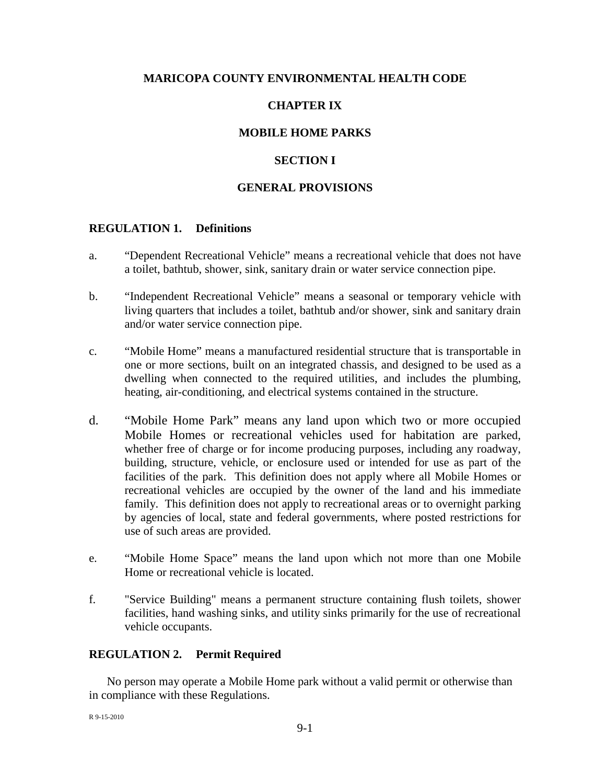## **MARICOPA COUNTY ENVIRONMENTAL HEALTH CODE**

# **CHAPTER IX**

### **MOBILE HOME PARKS**

### **SECTION I**

#### **GENERAL PROVISIONS**

#### **REGULATION 1. Definitions**

- a. "Dependent Recreational Vehicle" means a recreational vehicle that does not have a toilet, bathtub, shower, sink, sanitary drain or water service connection pipe.
- b. "Independent Recreational Vehicle" means a seasonal or temporary vehicle with living quarters that includes a toilet, bathtub and/or shower, sink and sanitary drain and/or water service connection pipe.
- c. "Mobile Home" means a manufactured residential structure that is transportable in one or more sections, built on an integrated chassis, and designed to be used as a dwelling when connected to the required utilities, and includes the plumbing, heating, air-conditioning, and electrical systems contained in the structure.
- d. "Mobile Home Park" means any land upon which two or more occupied Mobile Homes or recreational vehicles used for habitation are parked, whether free of charge or for income producing purposes, including any roadway, building, structure, vehicle, or enclosure used or intended for use as part of the facilities of the park. This definition does not apply where all Mobile Homes or recreational vehicles are occupied by the owner of the land and his immediate family. This definition does not apply to recreational areas or to overnight parking by agencies of local, state and federal governments, where posted restrictions for use of such areas are provided.
- e. "Mobile Home Space" means the land upon which not more than one Mobile Home or recreational vehicle is located.
- f. "Service Building" means a permanent structure containing flush toilets, shower facilities, hand washing sinks, and utility sinks primarily for the use of recreational vehicle occupants.

#### **REGULATION 2. Permit Required**

No person may operate a Mobile Home park without a valid permit or otherwise than in compliance with these Regulations.

R 9-15-2010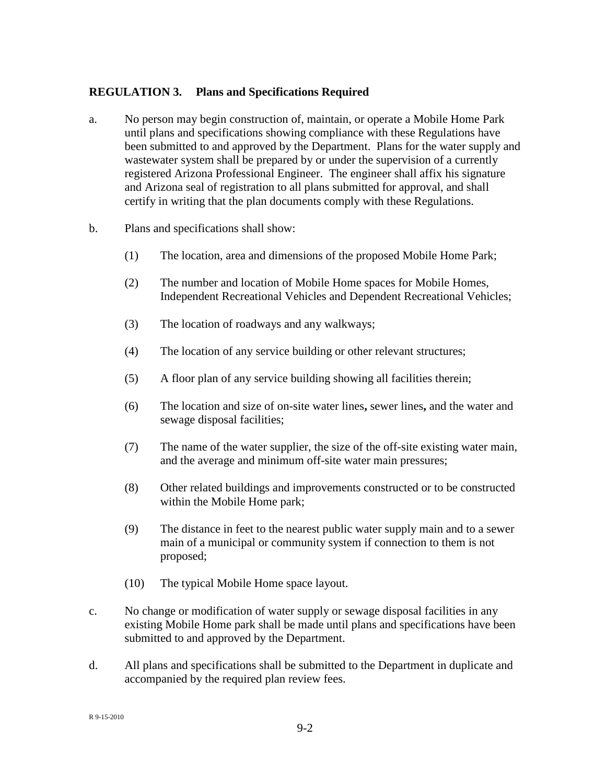## **REGULATION 3. Plans and Specifications Required**

- a. No person may begin construction of, maintain, or operate a Mobile Home Park until plans and specifications showing compliance with these Regulations have been submitted to and approved by the Department. Plans for the water supply and wastewater system shall be prepared by or under the supervision of a currently registered Arizona Professional Engineer. The engineer shall affix his signature and Arizona seal of registration to all plans submitted for approval, and shall certify in writing that the plan documents comply with these Regulations.
- b. Plans and specifications shall show:
	- (1) The location, area and dimensions of the proposed Mobile Home Park;
	- (2) The number and location of Mobile Home spaces for Mobile Homes, Independent Recreational Vehicles and Dependent Recreational Vehicles;
	- (3) The location of roadways and any walkways;
	- (4) The location of any service building or other relevant structures;
	- (5) A floor plan of any service building showing all facilities therein;
	- (6) The location and size of on-site water lines**,** sewer lines**,** and the water and sewage disposal facilities;
	- (7) The name of the water supplier, the size of the off-site existing water main, and the average and minimum off-site water main pressures;
	- (8) Other related buildings and improvements constructed or to be constructed within the Mobile Home park;
	- (9) The distance in feet to the nearest public water supply main and to a sewer main of a municipal or community system if connection to them is not proposed;
	- (10) The typical Mobile Home space layout.
- c. No change or modification of water supply or sewage disposal facilities in any existing Mobile Home park shall be made until plans and specifications have been submitted to and approved by the Department.
- d. All plans and specifications shall be submitted to the Department in duplicate and accompanied by the required plan review fees.

R 9-15-2010